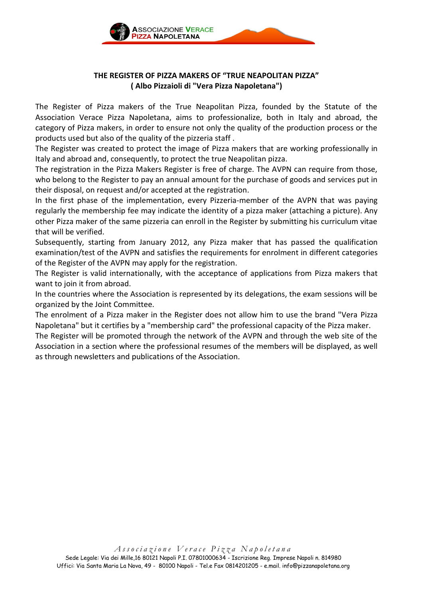

# **THE REGISTER OF PIZZA MAKERS OF "TRUE NEAPOLITAN PIZZA" ( Albo Pizzaioli di "Vera Pizza Napoletana")**

The Register of Pizza makers of the True Neapolitan Pizza, founded by the Statute of the Association Verace Pizza Napoletana, aims to professionalize, both in Italy and abroad, the category of Pizza makers, in order to ensure not only the quality of the production process or the products used but also of the quality of the pizzeria staff .

The Register was created to protect the image of Pizza makers that are working professionally in Italy and abroad and, consequently, to protect the true Neapolitan pizza.

The registration in the Pizza Makers Register is free of charge. The AVPN can require from those, who belong to the Register to pay an annual amount for the purchase of goods and services put in their disposal, on request and/or accepted at the registration.

In the first phase of the implementation, every Pizzeria-member of the AVPN that was paying regularly the membership fee may indicate the identity of a pizza maker (attaching a picture). Any other Pizza maker of the same pizzeria can enroll in the Register by submitting his curriculum vitae that will be verified.

Subsequently, starting from January 2012, any Pizza maker that has passed the qualification examination/test of the AVPN and satisfies the requirements for enrolment in different categories of the Register of the AVPN may apply for the registration.

The Register is valid internationally, with the acceptance of applications from Pizza makers that want to join it from abroad.

In the countries where the Association is represented by its delegations, the exam sessions will be organized by the Joint Committee.

The enrolment of a Pizza maker in the Register does not allow him to use the brand "Vera Pizza Napoletana" but it certifies by a "membership card" the professional capacity of the Pizza maker.

The Register will be promoted through the network of the AVPN and through the web site of the Association in a section where the professional resumes of the members will be displayed, as well as through newsletters and publications of the Association.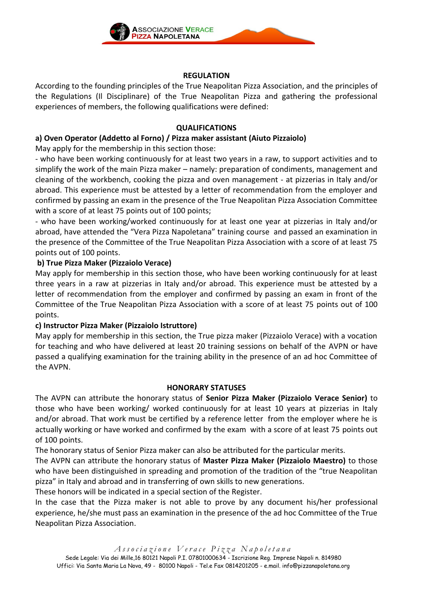

## **REGULATION**

According to the founding principles of the True Neapolitan Pizza Association, and the principles of the Regulations (Il Disciplinare) of the True Neapolitan Pizza and gathering the professional experiences of members, the following qualifications were defined:

## **QUALIFICATIONS**

# **a) Oven Operator (Addetto al Forno) / Pizza maker assistant (Aiuto Pizzaiolo)**

May apply for the membership in this section those:

- who have been working continuously for at least two years in a raw, to support activities and to simplify the work of the main Pizza maker – namely: preparation of condiments, management and cleaning of the workbench, cooking the pizza and oven management - at pizzerias in Italy and/or abroad. This experience must be attested by a letter of recommendation from the employer and confirmed by passing an exam in the presence of the True Neapolitan Pizza Association Committee with a score of at least 75 points out of 100 points;

- who have been working/worked continuously for at least one year at pizzerias in Italy and/or abroad, have attended the "Vera Pizza Napoletana" training course and passed an examination in the presence of the Committee of the True Neapolitan Pizza Association with a score of at least 75 points out of 100 points.

## **b) True Pizza Maker (Pizzaiolo Verace)**

May apply for membership in this section those, who have been working continuously for at least three years in a raw at pizzerias in Italy and/or abroad. This experience must be attested by a letter of recommendation from the employer and confirmed by passing an exam in front of the Committee of the True Neapolitan Pizza Association with a score of at least 75 points out of 100 points.

### **c) Instructor Pizza Maker (Pizzaiolo Istruttore)**

May apply for membership in this section, the True pizza maker (Pizzaiolo Verace) with a vocation for teaching and who have delivered at least 20 training sessions on behalf of the AVPN or have passed a qualifying examination for the training ability in the presence of an ad hoc Committee of the AVPN.

### **HONORARY STATUSES**

The AVPN can attribute the honorary status of **Senior Pizza Maker (Pizzaiolo Verace Senior)** to those who have been working/ worked continuously for at least 10 years at pizzerias in Italy and/or abroad. That work must be certified by a reference letter from the employer where he is actually working or have worked and confirmed by the exam with a score of at least 75 points out of 100 points.

The honorary status of Senior Pizza maker can also be attributed for the particular merits.

The AVPN can attribute the honorary status of **Master Pizza Maker (Pizzaiolo Maestro)** to those who have been distinguished in spreading and promotion of the tradition of the "true Neapolitan pizza" in Italy and abroad and in transferring of own skills to new generations.

These honors will be indicated in a special section of the Register.

In the case that the Pizza maker is not able to prove by any document his/her professional experience, he/she must pass an examination in the presence of the ad hoc Committee of the True Neapolitan Pizza Association.